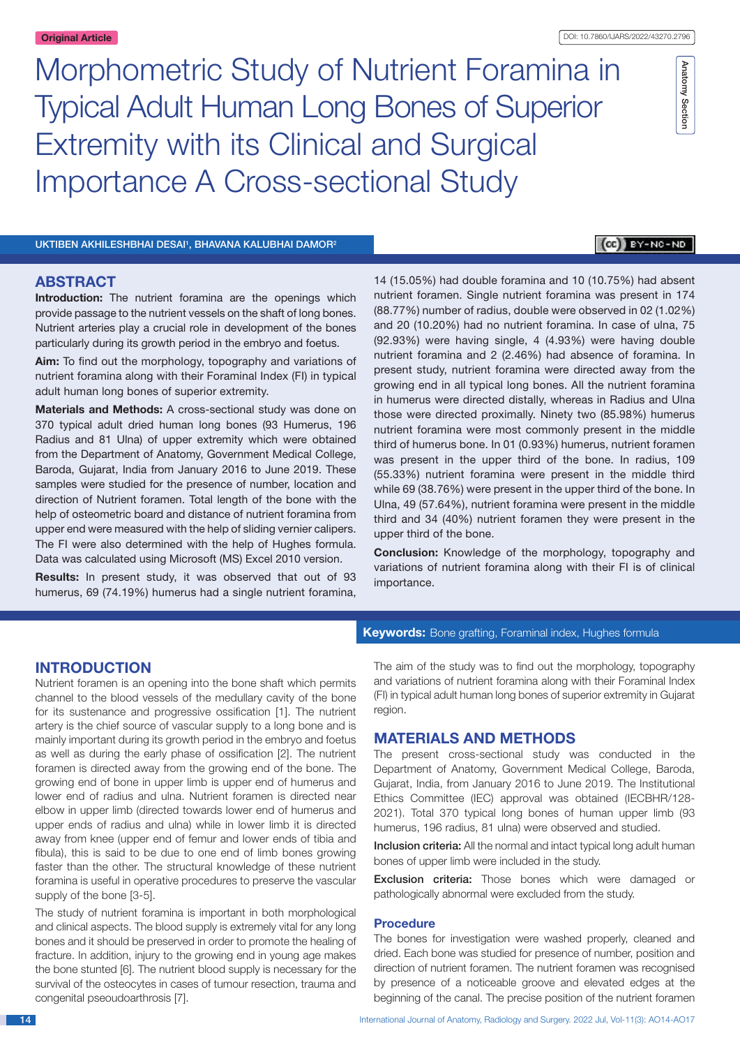Anatomy Section

Anatomy Section

Morphometric Study of Nutrient Foramina in Typical Adult Human Long Bones of Superior Extremity with its Clinical and Surgical Importance A Cross-sectional Study

UKTIBEN AKHILESHBHAI DESAI<sup>1</sup>, BHAVANA KALUBHAI DAMOR<sup>2</sup>

# $[CE]$   $BY-NC-ND$

## **ABSTRACT**

**Introduction:** The nutrient foramina are the openings which provide passage to the nutrient vessels on the shaft of long bones. Nutrient arteries play a crucial role in development of the bones particularly during its growth period in the embryo and foetus.

**Aim:** To find out the morphology, topography and variations of nutrient foramina along with their Foraminal Index (FI) in typical adult human long bones of superior extremity.

**Materials and Methods:** A cross-sectional study was done on 370 typical adult dried human long bones (93 Humerus, 196 Radius and 81 Ulna) of upper extremity which were obtained from the Department of Anatomy, Government Medical College, Baroda, Gujarat, India from January 2016 to June 2019. These samples were studied for the presence of number, location and direction of Nutrient foramen. Total length of the bone with the help of osteometric board and distance of nutrient foramina from upper end were measured with the help of sliding vernier calipers. The FI were also determined with the help of Hughes formula. Data was calculated using Microsoft (MS) Excel 2010 version.

**Results:** In present study, it was observed that out of 93 humerus, 69 (74.19%) humerus had a single nutrient foramina,

14 (15.05%) had double foramina and 10 (10.75%) had absent nutrient foramen. Single nutrient foramina was present in 174 (88.77%) number of radius, double were observed in 02 (1.02%) and 20 (10.20%) had no nutrient foramina. In case of ulna, 75 (92.93%) were having single, 4 (4.93%) were having double nutrient foramina and 2 (2.46%) had absence of foramina. In present study, nutrient foramina were directed away from the growing end in all typical long bones. All the nutrient foramina in humerus were directed distally, whereas in Radius and Ulna those were directed proximally. Ninety two (85.98%) humerus nutrient foramina were most commonly present in the middle third of humerus bone. In 01 (0.93%) humerus, nutrient foramen was present in the upper third of the bone. In radius, 109 (55.33%) nutrient foramina were present in the middle third while 69 (38.76%) were present in the upper third of the bone. In Ulna, 49 (57.64%), nutrient foramina were present in the middle third and 34 (40%) nutrient foramen they were present in the upper third of the bone.

**Conclusion:** Knowledge of the morphology, topography and variations of nutrient foramina along with their FI is of clinical importance.

## **INTRODUCTION**

Nutrient foramen is an opening into the bone shaft which permits channel to the blood vessels of the medullary cavity of the bone for its sustenance and progressive ossification [1]. The nutrient artery is the chief source of vascular supply to a long bone and is mainly important during its growth period in the embryo and foetus as well as during the early phase of ossification [2]. The nutrient foramen is directed away from the growing end of the bone. The growing end of bone in upper limb is upper end of humerus and lower end of radius and ulna. Nutrient foramen is directed near elbow in upper limb (directed towards lower end of humerus and upper ends of radius and ulna) while in lower limb it is directed away from knee (upper end of femur and lower ends of tibia and fibula), this is said to be due to one end of limb bones growing faster than the other. The structural knowledge of these nutrient foramina is useful in operative procedures to preserve the vascular supply of the bone [3-5].

The study of nutrient foramina is important in both morphological and clinical aspects. The blood supply is extremely vital for any long bones and it should be preserved in order to promote the healing of fracture. In addition, injury to the growing end in young age makes the bone stunted [6]. The nutrient blood supply is necessary for the survival of the osteocytes in cases of tumour resection, trauma and congenital pseoudoarthrosis [7].

## **Keywords:** Bone grafting, Foraminal index, Hughes formula

The aim of the study was to find out the morphology, topography and variations of nutrient foramina along with their Foraminal Index (FI) in typical adult human long bones of superior extremity in Gujarat region.

# **MATERIALS AND METHODS**

The present cross-sectional study was conducted in the Department of Anatomy, Government Medical College, Baroda, Gujarat, India, from January 2016 to June 2019. The Institutional Ethics Committee (IEC) approval was obtained (IECBHR/128- 2021). Total 370 typical long bones of human upper limb (93 humerus, 196 radius, 81 ulna) were observed and studied.

Inclusion criteria: All the normal and intact typical long adult human bones of upper limb were included in the study.

Exclusion criteria: Those bones which were damaged or pathologically abnormal were excluded from the study.

## **Procedure**

The bones for investigation were washed properly, cleaned and dried. Each bone was studied for presence of number, position and direction of nutrient foramen. The nutrient foramen was recognised by presence of a noticeable groove and elevated edges at the beginning of the canal. The precise position of the nutrient foramen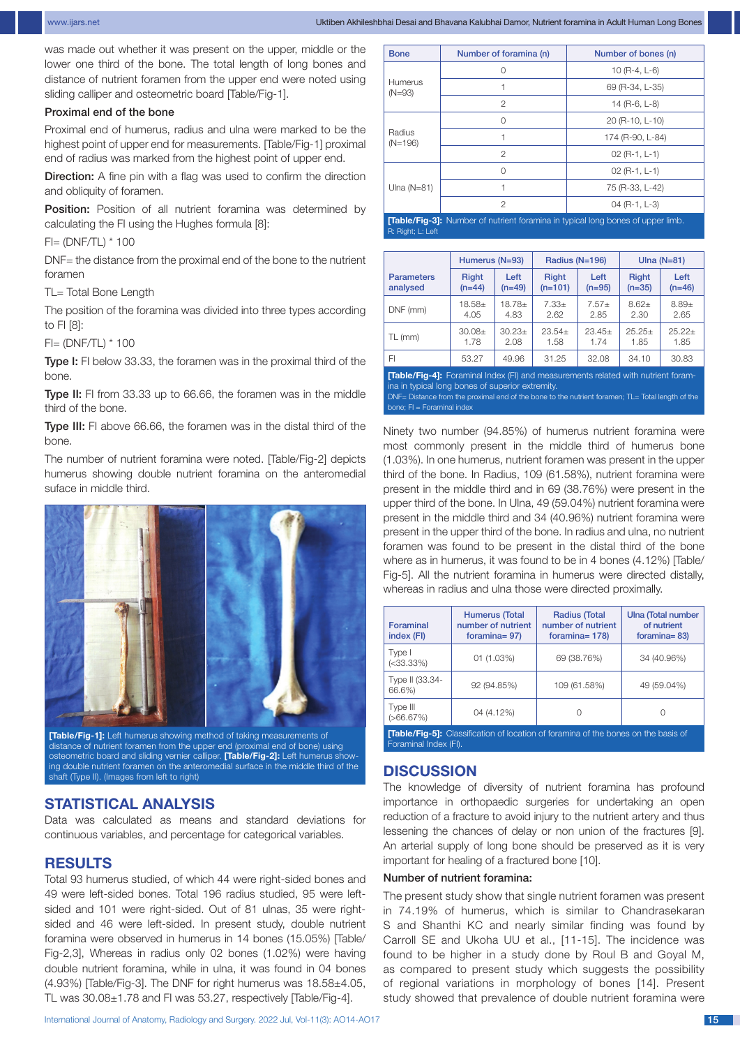was made out whether it was present on the upper, middle or the lower one third of the bone. The total length of long bones and distance of nutrient foramen from the upper end were noted using sliding calliper and osteometric board [Table/Fig-1].

## Proximal end of the bone

Proximal end of humerus, radius and ulna were marked to be the highest point of upper end for measurements. [Table/Fig-1] proximal end of radius was marked from the highest point of upper end.

Direction: A fine pin with a flag was used to confirm the direction and obliquity of foramen.

Position: Position of all nutrient foramina was determined by calculating the FI using the Hughes formula [8]:

### FI= (DNF/TL) \* 100

DNF= the distance from the proximal end of the bone to the nutrient foramen

TL= Total Bone Length

The position of the foramina was divided into three types according to FI [8]:

FI= (DNF/TL) \* 100

Type I: FI below 33.33, the foramen was in the proximal third of the bone.

Type II: FI from 33.33 up to 66.66, the foramen was in the middle third of the bone.

Type III: FI above 66.66, the foramen was in the distal third of the bone.

The number of nutrient foramina were noted. [Table/Fig-2] depicts humerus showing double nutrient foramina on the anteromedial suface in middle third.



**[Table/Fig-1]:** Left humerus showing method of taking measurements of distance of nutrient foramen from the upper end (proximal end of bone) using osteometric board and sliding vernier calliper. **[Table/Fig-2]:** Left humerus showing double nutrient foramen on the anteromedial surface in the middle third of the shaft (Type II). (Images from left to right)

# **STATISTICAL ANALYSIS**

Data was calculated as means and standard deviations for continuous variables, and percentage for categorical variables.

## **RESULTS**

Total 93 humerus studied, of which 44 were right-sided bones and 49 were left-sided bones. Total 196 radius studied, 95 were leftsided and 101 were right-sided. Out of 81 ulnas, 35 were rightsided and 46 were left-sided. In present study, double nutrient foramina were observed in humerus in 14 bones (15.05%) [Table/ Fig-2,3], Whereas in radius only 02 bones (1.02%) were having double nutrient foramina, while in ulna, it was found in 04 bones (4.93%) [Table/Fig-3]. The DNF for right humerus was 18.58±4.05, TL was 30.08±1.78 and FI was 53.27, respectively [Table/Fig-4].

International Journal of Anatomy, Radiology and Surgery. 2022 Jul, Vol-11(3): AO14-AO17 15

| <b>Bone</b>                                                                            | Number of foramina (n) | Number of bones (n) |  |  |  |  |
|----------------------------------------------------------------------------------------|------------------------|---------------------|--|--|--|--|
| Humerus<br>$(N=93)$                                                                    | ∩                      | 10 $(R-4, L-6)$     |  |  |  |  |
|                                                                                        |                        | 69 (R-34, L-35)     |  |  |  |  |
|                                                                                        | $\mathcal{P}$          | 14 (R-6, $L-8$ )    |  |  |  |  |
| Radius<br>$(N=196)$                                                                    | $\cap$                 | 20 (R-10, L-10)     |  |  |  |  |
|                                                                                        |                        | 174 (R-90, L-84)    |  |  |  |  |
|                                                                                        | 2                      | $02$ (R-1, L-1)     |  |  |  |  |
| Ulna $(N=81)$                                                                          | O                      | $02$ (R-1, L-1)     |  |  |  |  |
|                                                                                        |                        | 75 (R-33, L-42)     |  |  |  |  |
|                                                                                        | $\mathcal{P}$          | $04$ (R-1, L-3)     |  |  |  |  |
| <b>[Table/Fig-3]:</b> Number of nutrient foramina in typical long bones of upper limb. |                        |                     |  |  |  |  |

R: Right; L: Left

|                   | Humerus (N=93) |             | Radius (N=196) |          | Ulna $(N=81)$ |          |
|-------------------|----------------|-------------|----------------|----------|---------------|----------|
| <b>Parameters</b> | <b>Right</b>   | Left        | <b>Right</b>   | Left     | <b>Right</b>  | Left     |
| analysed          | $(n=44)$       | $(n=49)$    | $(n=101)$      | $(n=95)$ | $(n=35)$      | $(n=46)$ |
| DNF (mm)          | $18.58 \pm$    | $18.78+$    | $7.33+$        | $7.57+$  | $8.62+$       | $8.89 +$ |
|                   | 4.05           | 4.83        | 2.62           | 2.85     | 2.30          | 2.65     |
| TL (mm)           | $30.08\pm$     | $30.23 \pm$ | $23.54+$       | $23.45+$ | $25.25+$      | $25.22+$ |
|                   | 1.78           | 2.08        | 1.58           | 1.74     | 1.85          | 1.85     |
| FI                | 53.27          | 49.96       | 31.25          | 32.08    | 34.10         | 30.83    |

**[Table/Fig-4]:** Foraminal Index (FI) and measurements related with nutrient foramha in typical long bones of superior extremity

DNF= Distance from the proximal end of the bone to the nutrient foramen; TL= Total length of the bone; FI = Foraminal index

Ninety two number (94.85%) of humerus nutrient foramina were most commonly present in the middle third of humerus bone (1.03%). In one humerus, nutrient foramen was present in the upper third of the bone. In Radius, 109 (61.58%), nutrient foramina were present in the middle third and in 69 (38.76%) were present in the upper third of the bone. In Ulna, 49 (59.04%) nutrient foramina were present in the middle third and 34 (40.96%) nutrient foramina were present in the upper third of the bone. In radius and ulna, no nutrient foramen was found to be present in the distal third of the bone where as in humerus, it was found to be in 4 bones (4.12%) [Table/ Fig-5]. All the nutrient foramina in humerus were directed distally, whereas in radius and ulna those were directed proximally.

| Foraminal<br>index (FI)    | <b>Humerus (Total</b><br>number of nutrient<br>foramina = $97$ ) | <b>Radius (Total</b><br>number of nutrient<br>foramina=178) | <b>Ulna (Total number</b><br>of nutrient<br>foramina $= 83$ ) |
|----------------------------|------------------------------------------------------------------|-------------------------------------------------------------|---------------------------------------------------------------|
| Type I<br>$(<33.33\%)$     | 01 (1.03%)                                                       | 69 (38.76%)                                                 | 34 (40.96%)                                                   |
| Type II (33.34-<br>66.6%)  | 92 (94.85%)                                                      | 109 (61.58%)                                                | 49 (59.04%)                                                   |
| Type III<br>$( > 66.67\%)$ | 04 (4.12%)                                                       |                                                             |                                                               |

**[Table/Fig-5]:** Classification of location of foramina of the bones on the basis of **-**<br>Foraminal Index (FI).

## **DISCUSSION**

The knowledge of diversity of nutrient foramina has profound importance in orthopaedic surgeries for undertaking an open reduction of a fracture to avoid injury to the nutrient artery and thus lessening the chances of delay or non union of the fractures [9]. An arterial supply of long bone should be preserved as it is very important for healing of a fractured bone [10].

### Number of nutrient foramina:

The present study show that single nutrient foramen was present in 74.19% of humerus, which is similar to Chandrasekaran S and Shanthi KC and nearly similar finding was found by Carroll SE and Ukoha UU et al., [11-15]. The incidence was found to be higher in a study done by Roul B and Goyal M, as compared to present study which suggests the possibility of regional variations in morphology of bones [14]. Present study showed that prevalence of double nutrient foramina were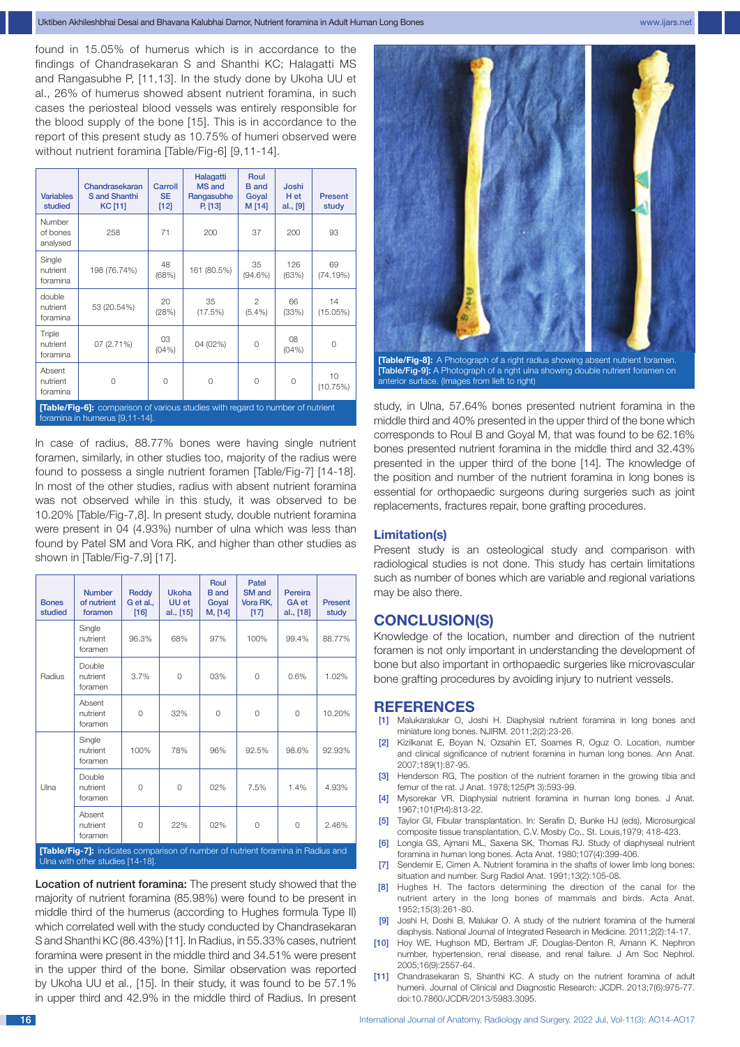found in 15.05% of humerus which is in accordance to the findings of Chandrasekaran S and Shanthi KC; Halagatti MS and Rangasubhe P, [11,13]. In the study done by Ukoha UU et al., 26% of humerus showed absent nutrient foramina, in such cases the periosteal blood vessels was entirely responsible for the blood supply of the bone [15]. This is in accordance to the report of this present study as 10.75% of humeri observed were without nutrient foramina [Table/Fig-6] [9,11-14].

| <b>Variables</b><br>studied                                                           | Chandrasekaran<br>S and Shanthi<br>KC [11] | Carroll<br><b>SE</b><br>$[12]$ | Halagatti<br>MS and<br>Rangasubhe<br>P, [13] | Roul<br><b>B</b> and<br>Goyal<br>M [14] | Joshi<br>H et<br>al., [9] | <b>Present</b><br>study |
|---------------------------------------------------------------------------------------|--------------------------------------------|--------------------------------|----------------------------------------------|-----------------------------------------|---------------------------|-------------------------|
| Number<br>of bones<br>analysed                                                        | 258                                        | 71                             | 200                                          | 37                                      | 200                       | 93                      |
| Single<br>nutrient<br>foramina                                                        | 198 (76.74%)                               | 48<br>(68%)                    | 161 (80.5%)                                  | 35<br>$(94.6\%)$                        | 126<br>(63%)              | 69<br>(74.19%)          |
| double<br>nutrient<br>foramina                                                        | 53 (20.54%)                                | 20<br>(28%)                    | 35<br>(17.5%)                                | $\mathfrak{D}$<br>$(5.4\%)$             | 66<br>(33%)               | 14<br>(15.05%)          |
| Triple<br>nutrient<br>foramina                                                        | 07(2.71%)                                  | 03<br>(04% )                   | 04 (02%)                                     | $\Omega$                                | 08<br>(04% )              | 0                       |
| Absent<br>nutrient<br>foramina                                                        | $\Omega$                                   | 0                              | $\Omega$                                     | $\circ$                                 | $\Omega$                  | 10<br>(10.75%)          |
| <b>[Table/Fig-6]:</b> comparison of various studies with regard to number of nutrient |                                            |                                |                                              |                                         |                           |                         |

foramina in humerus [9,11-14].

In case of radius, 88.77% bones were having single nutrient foramen, similarly, in other studies too, majority of the radius were found to possess a single nutrient foramen [Table/Fig-7] [14-18]. In most of the other studies, radius with absent nutrient foramina was not observed while in this study, it was observed to be 10.20% [Table/Fig-7,8]. In present study, double nutrient foramina were present in 04 (4.93%) number of ulna which was less than found by Patel SM and Vora RK, and higher than other studies as shown in [Table/Fig-7,9] [17].

| <b>Bones</b><br>studied                                                                                              | <b>Number</b><br>of nutrient<br>foramen | Reddy<br>G et al.,<br>[16] | <b>Ukoha</b><br>UU et<br>al., [15] | Roul<br><b>B</b> and<br>Goyal<br>M, [14] | Patel<br><b>SM</b> and<br>Vora RK,<br>$[17]$ | Pereira<br><b>GA</b> et<br>al., [18] | <b>Present</b><br>study |
|----------------------------------------------------------------------------------------------------------------------|-----------------------------------------|----------------------------|------------------------------------|------------------------------------------|----------------------------------------------|--------------------------------------|-------------------------|
| Radius                                                                                                               | Single<br>nutrient<br>foramen           | 96.3%                      | 68%                                | 97%                                      | 100%                                         | 99.4%                                | 88.77%                  |
|                                                                                                                      | Double<br>nutrient<br>foramen           | 3.7%                       | 0                                  | 03%                                      | 0                                            | 0.6%                                 | 1.02%                   |
|                                                                                                                      | Absent<br>nutrient<br>foramen           | 0                          | 32%                                | 0                                        | $\circ$                                      | $\Omega$                             | 10.20%                  |
| Ulna                                                                                                                 | Single<br>nutrient<br>foramen           | 100%                       | 78%                                | 96%                                      | 92.5%                                        | 98.6%                                | 92.93%                  |
|                                                                                                                      | Double<br>nutrient<br>foramen           | 0                          | 0                                  | 02%                                      | 7.5%                                         | 1.4%                                 | 4.93%                   |
|                                                                                                                      | Absent<br>nutrient<br>foramen           | $\Omega$                   | 22%                                | 02%                                      | $\mathbf 0$                                  | $\Omega$                             | 2.46%                   |
| [Table/Fig-7]: indicates comparison of number of nutrient foramina in Radius and<br>Ulna with other studies [14-18]. |                                         |                            |                                    |                                          |                                              |                                      |                         |

Location of nutrient foramina: The present study showed that the majority of nutrient foramina (85.98%) were found to be present in middle third of the humerus (according to Hughes formula Type II) which correlated well with the study conducted by Chandrasekaran S and Shanthi KC (86.43%) [11]. In Radius, in 55.33% cases, nutrient foramina were present in the middle third and 34.51% were present in the upper third of the bone. Similar observation was reported by Ukoha UU et al., [15]. In their study, it was found to be 57.1% in upper third and 42.9% in the middle third of Radius. In present



**[Table/Fig-8]:** A Photograph of a right radius showing absent nutrient foramen. [Table/Fig-9]: A Photograph of a right ulna showing double nutrient foramen on anterior surface. (Images from lleft to right)

study, in Ulna, 57.64% bones presented nutrient foramina in the middle third and 40% presented in the upper third of the bone which corresponds to Roul B and Goyal M, that was found to be 62.16% bones presented nutrient foramina in the middle third and 32.43% presented in the upper third of the bone [14]. The knowledge of the position and number of the nutrient foramina in long bones is essential for orthopaedic surgeons during surgeries such as joint replacements, fractures repair, bone grafting procedures.

## **Limitation(s)**

Present study is an osteological study and comparison with radiological studies is not done. This study has certain limitations such as number of bones which are variable and regional variations may be also there.

## **CONCLUSION(S)**

Knowledge of the location, number and direction of the nutrient foramen is not only important in understanding the development of bone but also important in orthopaedic surgeries like microvascular bone grafting procedures by avoiding injury to nutrient vessels.

#### **References**

- [1] Malukaralukar O, Joshi H. Diaphysial nutrient foramina in long bones and miniature long bones. NJIRM. 2011;2(2):23-26.
- [2] Kizilkanat E, Boyan N, Ozsahin ET, Soames R, Oguz O. Location, number and clinical significance of nutrient foramina in human long bones. Ann Anat. 2007;189(1):87-95.
- [3] Henderson RG, The position of the nutrient foramen in the growing tibia and femur of the rat. J Anat. 1978;125(Pt 3):593-99.
- [4] Mysorekar VR. Diaphysial nutrient foramina in human long bones. J Anat. 1967;101(Pt4):813-22.
- [5] Taylor GI, Fibular transplantation. In: Serafin D, Bunke HJ (eds), Microsurgical composite tissue transplantation, C.V. Mosby Co., St. Louis,1979; 418-423.
- [6] Longia GS, Ajmani ML, Saxena SK, Thomas RJ. Study of diaphyseal nutrient foramina in human long bones. Acta Anat. 1980;107(4):399-406.
- [7] Sendemir E, Cimen A. Nutrient foramina in the shafts of lower limb long bones: situation and number. Surg Radiol Anat. 1991;13(2):105-08.
- [8] Hughes H. The factors determining the direction of the canal for the nutrient artery in the long bones of mammals and birds. Acta Anat. 1952;15(3):261-80.
- [9] Joshi H, Doshi B, Malukar O. A study of the nutrient foramina of the humeral diaphysis. National Journal of Integrated Research in Medicine. 2011;2(2):14-17.
- [10] Hoy WE, Hughson MD, Bertram JF, Douglas-Denton R, Amann K. Nephron number, hypertension, renal disease, and renal failure. J Am Soc Nephrol. 2005;16(9):2557-64.
- [11] Chandrasekaran S, Shanthi KC. A study on the nutrient foramina of adult humerii. Journal of Clinical and Diagnostic Research: JCDR. 2013;7(6):975-77. doi:10.7860/JCDR/2013/5983.3095.